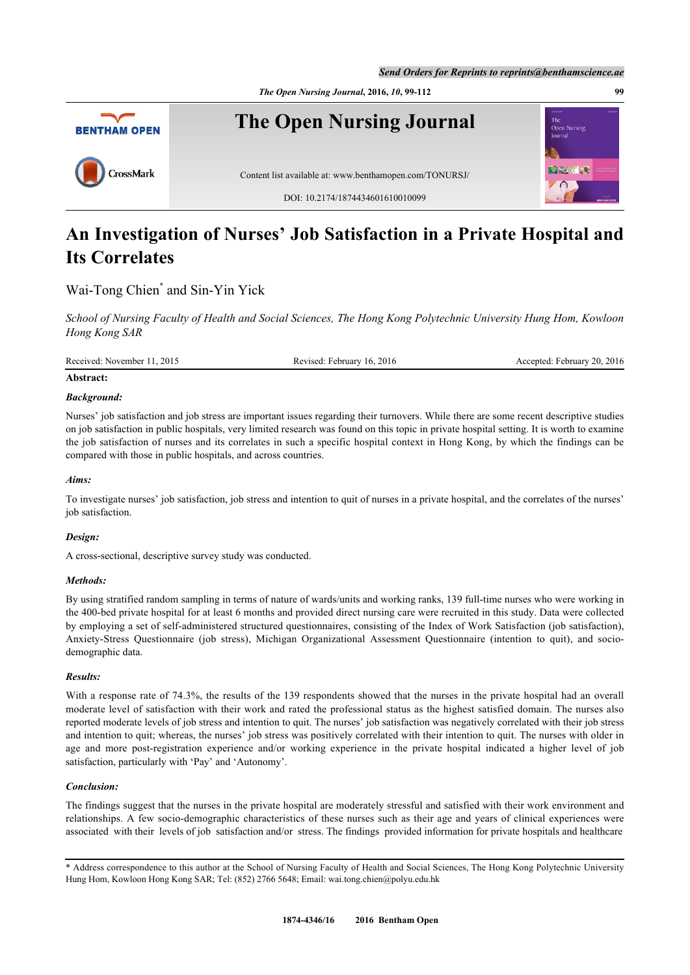

# **An Investigation of Nurses' Job Satisfaction in a Private Hospital and Its Correlates**

## Wai-Tong Chien<sup>[\\*](#page-0-0)</sup> and Sin-Yin Yick

*School of Nursing Faculty of Health and Social Sciences, The Hong Kong Polytechnic University Hung Hom, Kowloon Hong Kong SAR*

| Received: November 11, 2015 | Revised: February 16, 2016 | Accepted: February 20, 2016 |
|-----------------------------|----------------------------|-----------------------------|
|                             |                            |                             |

## **Abstract:**

## *Background:*

Nurses' job satisfaction and job stress are important issues regarding their turnovers. While there are some recent descriptive studies on job satisfaction in public hospitals, very limited research was found on this topic in private hospital setting. It is worth to examine the job satisfaction of nurses and its correlates in such a specific hospital context in Hong Kong, by which the findings can be compared with those in public hospitals, and across countries.

## *Aims:*

To investigate nurses' job satisfaction, job stress and intention to quit of nurses in a private hospital, and the correlates of the nurses' job satisfaction.

## *Design:*

A cross-sectional, descriptive survey study was conducted.

## *Methods:*

By using stratified random sampling in terms of nature of wards/units and working ranks, 139 full-time nurses who were working in the 400-bed private hospital for at least 6 months and provided direct nursing care were recruited in this study. Data were collected by employing a set of self-administered structured questionnaires, consisting of the Index of Work Satisfaction (job satisfaction), Anxiety-Stress Questionnaire (job stress), Michigan Organizational Assessment Questionnaire (intention to quit), and sociodemographic data.

## *Results:*

With a response rate of 74.3%, the results of the 139 respondents showed that the nurses in the private hospital had an overall moderate level of satisfaction with their work and rated the professional status as the highest satisfied domain. The nurses also reported moderate levels of job stress and intention to quit. The nurses' job satisfaction was negatively correlated with their job stress and intention to quit; whereas, the nurses' job stress was positively correlated with their intention to quit. The nurses with older in age and more post-registration experience and/or working experience in the private hospital indicated a higher level of job satisfaction, particularly with 'Pay' and 'Autonomy'.

## *Conclusion:*

The findings suggest that the nurses in the private hospital are moderately stressful and satisfied with their work environment and relationships. A few socio-demographic characteristics of these nurses such as their age and years of clinical experiences were associated with their levels of job satisfaction and/or stress. The findings provided information for private hospitals and healthcare

<span id="page-0-0"></span>\* Address correspondence to this author at the School of Nursing Faculty of Health and Social Sciences, The Hong Kong Polytechnic University Hung Hom, Kowloon Hong Kong SAR; Tel: (852) 2766 5648; Email: [wai.tong.chien@polyu.edu.hk](mailto:wai.tong.chien@polyu.edu.hk)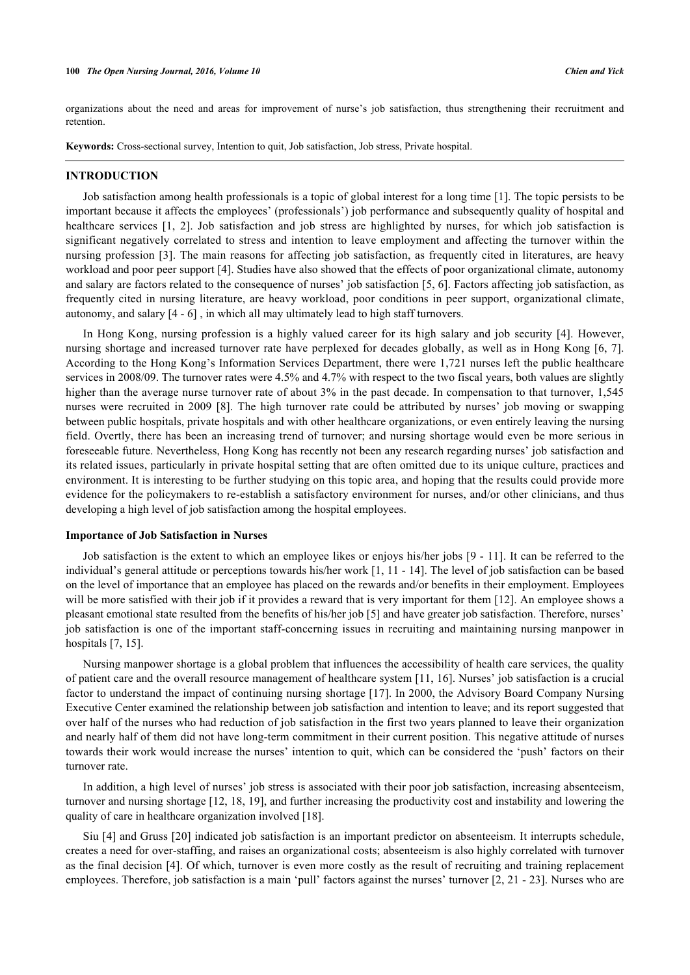organizations about the need and areas for improvement of nurse's job satisfaction, thus strengthening their recruitment and retention.

**Keywords:** Cross-sectional survey, Intention to quit, Job satisfaction, Job stress, Private hospital.

## **INTRODUCTION**

Job satisfaction among health professionals is a topic of global interest for a long time [[1](#page-11-0)]. The topic persists to be important because it affects the employees' (professionals') job performance and subsequently quality of hospital and healthcare services[[1,](#page-11-0) [2\]](#page-11-1). Job satisfaction and job stress are highlighted by nurses, for which job satisfaction is significant negatively correlated to stress and intention to leave employment and affecting the turnover within the nursing profession [[3\]](#page-11-2). The main reasons for affecting job satisfaction, as frequently cited in literatures, are heavy workload and poor peer support [[4](#page-11-3)]. Studies have also showed that the effects of poor organizational climate, autonomy and salary are factors related to the consequence of nurses' job satisfaction [[5](#page-11-4)[, 6](#page-11-5)]. Factors affecting job satisfaction, as frequently cited in nursing literature, are heavy workload, poor conditions in peer support, organizational climate, autonomy, and salary [\[4](#page-11-3) - [6\]](#page-11-5) , in which all may ultimately lead to high staff turnovers.

In Hong Kong, nursing profession is a highly valued career for its high salary and job security [[4\]](#page-11-3). However, nursing shortage and increased turnover rate have perplexed for decades globally, as well as in Hong Kong [\[6](#page-11-5), [7\]](#page-11-6). According to the Hong Kong's Information Services Department, there were 1,721 nurses left the public healthcare services in 2008/09. The turnover rates were 4.5% and 4.7% with respect to the two fiscal years, both values are slightly higher than the average nurse turnover rate of about 3% in the past decade. In compensation to that turnover, 1,545 nurses were recruited in 2009 [\[8](#page-11-7)]. The high turnover rate could be attributed by nurses' job moving or swapping between public hospitals, private hospitals and with other healthcare organizations, or even entirely leaving the nursing field. Overtly, there has been an increasing trend of turnover; and nursing shortage would even be more serious in foreseeable future. Nevertheless, Hong Kong has recently not been any research regarding nurses' job satisfaction and its related issues, particularly in private hospital setting that are often omitted due to its unique culture, practices and environment. It is interesting to be further studying on this topic area, and hoping that the results could provide more evidence for the policymakers to re-establish a satisfactory environment for nurses, and/or other clinicians, and thus developing a high level of job satisfaction among the hospital employees.

#### **Importance of Job Satisfaction in Nurses**

Job satisfaction is the extent to which an employee likes or enjoys his/her jobs [[9](#page-11-8) - [11\]](#page-11-9). It can be referred to the individual's general attitude or perceptions towards his/her work [[1](#page-11-0), [11](#page-11-9) - [14\]](#page-11-10). The level of job satisfaction can be based on the level of importance that an employee has placed on the rewards and/or benefits in their employment. Employees will be more satisfied with their job if it provides a reward that is very important for them [\[12](#page-11-11)]. An employee shows a pleasant emotional state resulted from the benefits of his/her job [[5\]](#page-11-4) and have greater job satisfaction. Therefore, nurses' job satisfaction is one of the important staff-concerning issues in recruiting and maintaining nursing manpower in hospitals [\[7](#page-11-6), [15](#page-11-12)].

Nursing manpower shortage is a global problem that influences the accessibility of health care services, the quality of patient care and the overall resource management of healthcare system [[11](#page-11-9)[, 16](#page-12-0)]. Nurses' job satisfaction is a crucial factor to understand the impact of continuing nursing shortage [[17](#page-12-1)]. In 2000, the Advisory Board Company Nursing Executive Center examined the relationship between job satisfaction and intention to leave; and its report suggested that over half of the nurses who had reduction of job satisfaction in the first two years planned to leave their organization and nearly half of them did not have long-term commitment in their current position. This negative attitude of nurses towards their work would increase the nurses' intention to quit, which can be considered the 'push' factors on their turnover rate.

In addition, a high level of nurses' job stress is associated with their poor job satisfaction, increasing absenteeism, turnover and nursing shortage [[12](#page-11-11)[, 18](#page-12-2), [19](#page-12-3)], and further increasing the productivity cost and instability and lowering the quality of care in healthcare organization involved [\[18](#page-12-2)].

Siu [[4\]](#page-11-3) and Gruss [\[20\]](#page-12-4) indicated job satisfaction is an important predictor on absenteeism. It interrupts schedule, creates a need for over-staffing, and raises an organizational costs; absenteeism is also highly correlated with turnover as the final decision [[4\]](#page-11-3). Of which, turnover is even more costly as the result of recruiting and training replacement employees. Therefore, job satisfaction is a main 'pull' factors against the nurses' turnover [[2](#page-11-1)[, 21](#page-12-5) - [23\]](#page-12-6). Nurses who are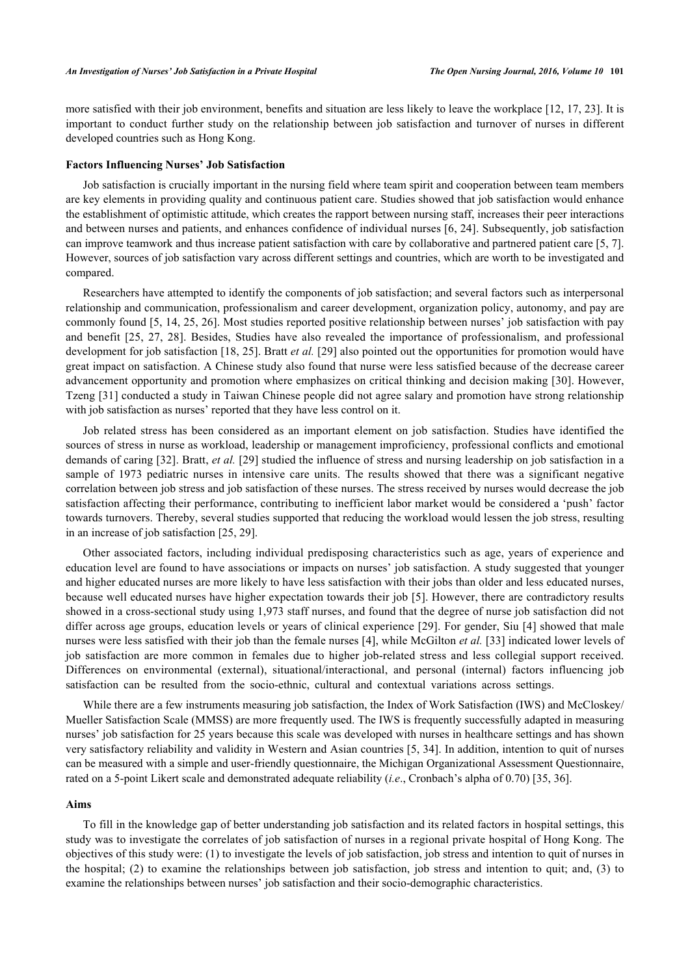more satisfied with their job environment, benefits and situation are less likely to leave the workplace [[12](#page-11-11), [17](#page-12-1), [23\]](#page-12-6). It is important to conduct further study on the relationship between job satisfaction and turnover of nurses in different developed countries such as Hong Kong.

#### **Factors Influencing Nurses' Job Satisfaction**

Job satisfaction is crucially important in the nursing field where team spirit and cooperation between team members are key elements in providing quality and continuous patient care. Studies showed that job satisfaction would enhance the establishment of optimistic attitude, which creates the rapport between nursing staff, increases their peer interactions and between nurses and patients, and enhances confidence of individual nurses [[6](#page-11-5)[, 24](#page-12-7)]. Subsequently, job satisfaction can improve teamwork and thus increase patient satisfaction with care by collaborative and partnered patient care [[5,](#page-11-4) [7\]](#page-11-6). However, sources of job satisfaction vary across different settings and countries, which are worth to be investigated and compared.

Researchers have attempted to identify the components of job satisfaction; and several factors such as interpersonal relationship and communication, professionalism and career development, organization policy, autonomy, and pay are commonly found [[5,](#page-11-4) [14](#page-11-10), [25,](#page-12-8) [26](#page-12-9)]. Most studies reported positive relationship between nurses' job satisfaction with pay and benefit [\[25](#page-12-8), [27](#page-12-10), [28\]](#page-12-11). Besides, Studies have also revealed the importance of professionalism, and professional development for job satisfaction [[18,](#page-12-2) [25](#page-12-8)]. Bratt *et al.* [\[29](#page-12-12)] also pointed out the opportunities for promotion would have great impact on satisfaction. A Chinese study also found that nurse were less satisfied because of the decrease career advancement opportunity and promotion where emphasizes on critical thinking and decision making [[30\]](#page-12-13). However, Tzeng [\[31\]](#page-12-14) conducted a study in Taiwan Chinese people did not agree salary and promotion have strong relationship with job satisfaction as nurses' reported that they have less control on it.

Job related stress has been considered as an important element on job satisfaction. Studies have identified the sources of stress in nurse as workload, leadership or management improficiency, professional conflicts and emotional demands of caring [\[32](#page-12-15)]. Bratt, *et al.* [[29\]](#page-12-12) studied the influence of stress and nursing leadership on job satisfaction in a sample of 1973 pediatric nurses in intensive care units. The results showed that there was a significant negative correlation between job stress and job satisfaction of these nurses. The stress received by nurses would decrease the job satisfaction affecting their performance, contributing to inefficient labor market would be considered a 'push' factor towards turnovers. Thereby, several studies supported that reducing the workload would lessen the job stress, resulting in an increase of job satisfaction [[25,](#page-12-8) [29\]](#page-12-12).

Other associated factors, including individual predisposing characteristics such as age, years of experience and education level are found to have associations or impacts on nurses' job satisfaction. A study suggested that younger and higher educated nurses are more likely to have less satisfaction with their jobs than older and less educated nurses, because well educated nurses have higher expectation towards their job [[5\]](#page-11-4). However, there are contradictory results showed in a cross-sectional study using 1,973 staff nurses, and found that the degree of nurse job satisfaction did not differ across age groups, education levels or years of clinical experience [\[29](#page-12-12)]. For gender, Siu [\[4\]](#page-11-3) showed that male nurses were less satisfied with their job than the female nurses [[4\]](#page-11-3), while McGilton *et al.* [[33\]](#page-12-16) indicated lower levels of job satisfaction are more common in females due to higher job-related stress and less collegial support received. Differences on environmental (external), situational/interactional, and personal (internal) factors influencing job satisfaction can be resulted from the socio-ethnic, cultural and contextual variations across settings.

While there are a few instruments measuring job satisfaction, the Index of Work Satisfaction (IWS) and McCloskey/ Mueller Satisfaction Scale (MMSS) are more frequently used. The IWS is frequently successfully adapted in measuring nurses' job satisfaction for 25 years because this scale was developed with nurses in healthcare settings and has shown very satisfactory reliability and validity in Western and Asian countries [[5,](#page-11-4) [34](#page-12-17)]. In addition, intention to quit of nurses can be measured with a simple and user-friendly questionnaire, the Michigan Organizational Assessment Questionnaire, rated on a 5-point Likert scale and demonstrated adequate reliability (*i.e*., Cronbach's alpha of 0.70) [[35](#page-12-18)[, 36\]](#page-12-19).

#### **Aims**

To fill in the knowledge gap of better understanding job satisfaction and its related factors in hospital settings, this study was to investigate the correlates of job satisfaction of nurses in a regional private hospital of Hong Kong. The objectives of this study were: (1) to investigate the levels of job satisfaction, job stress and intention to quit of nurses in the hospital; (2) to examine the relationships between job satisfaction, job stress and intention to quit; and, (3) to examine the relationships between nurses' job satisfaction and their socio-demographic characteristics.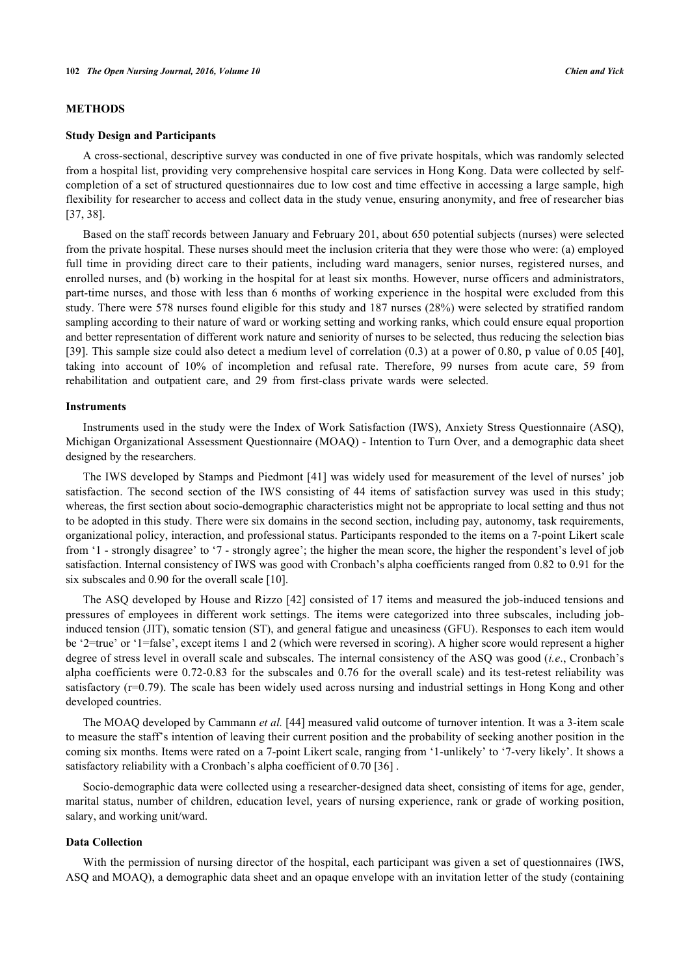## **METHODS**

#### **Study Design and Participants**

A cross-sectional, descriptive survey was conducted in one of five private hospitals, which was randomly selected from a hospital list, providing very comprehensive hospital care services in Hong Kong. Data were collected by selfcompletion of a set of structured questionnaires due to low cost and time effective in accessing a large sample, high flexibility for researcher to access and collect data in the study venue, ensuring anonymity, and free of researcher bias [\[37](#page-12-20), [38](#page-12-21)].

Based on the staff records between January and February 201, about 650 potential subjects (nurses) were selected from the private hospital. These nurses should meet the inclusion criteria that they were those who were: (a) employed full time in providing direct care to their patients, including ward managers, senior nurses, registered nurses, and enrolled nurses, and (b) working in the hospital for at least six months. However, nurse officers and administrators, part-time nurses, and those with less than 6 months of working experience in the hospital were excluded from this study. There were 578 nurses found eligible for this study and 187 nurses (28%) were selected by stratified random sampling according to their nature of ward or working setting and working ranks, which could ensure equal proportion and better representation of different work nature and seniority of nurses to be selected, thus reducing the selection bias [\[39](#page-12-22)]. This sample size could also detect a medium level of correlation (0.3) at a power of 0.80, p value of 0.05 [\[40\]](#page-13-0), taking into account of 10% of incompletion and refusal rate. Therefore, 99 nurses from acute care, 59 from rehabilitation and outpatient care, and 29 from first-class private wards were selected.

#### **Instruments**

Instruments used in the study were the Index of Work Satisfaction (IWS), Anxiety Stress Questionnaire (ASQ), Michigan Organizational Assessment Questionnaire (MOAQ) - Intention to Turn Over, and a demographic data sheet designed by the researchers.

The IWS developed by Stamps and Piedmont [\[41\]](#page-13-1) was widely used for measurement of the level of nurses' job satisfaction. The second section of the IWS consisting of 44 items of satisfaction survey was used in this study; whereas, the first section about socio-demographic characteristics might not be appropriate to local setting and thus not to be adopted in this study. There were six domains in the second section, including pay, autonomy, task requirements, organizational policy, interaction, and professional status. Participants responded to the items on a 7-point Likert scale from '1 - strongly disagree' to '7 - strongly agree'; the higher the mean score, the higher the respondent's level of job satisfaction. Internal consistency of IWS was good with Cronbach's alpha coefficients ranged from 0.82 to 0.91 for the six subscales and 0.90 for the overall scale [\[10](#page-11-13)].

The ASQ developed by House and Rizzo [\[42\]](#page-13-2) consisted of 17 items and measured the job-induced tensions and pressures of employees in different work settings. The items were categorized into three subscales, including jobinduced tension (JIT), somatic tension (ST), and general fatigue and uneasiness (GFU). Responses to each item would be '2=true' or '1=false', except items 1 and 2 (which were reversed in scoring). A higher score would represent a higher degree of stress level in overall scale and subscales. The internal consistency of the ASQ was good (*i.e*., Cronbach's alpha coefficients were 0.72-0.83 for the subscales and 0.76 for the overall scale) and its test-retest reliability was satisfactory (r=0.79). The scale has been widely used across nursing and industrial settings in Hong Kong and other developed countries.

The MOAQ developed by Cammann *et al.* [[44\]](#page-13-3) measured valid outcome of turnover intention. It was a 3-item scale to measure the staff's intention of leaving their current position and the probability of seeking another position in the coming six months. Items were rated on a 7-point Likert scale, ranging from '1-unlikely' to '7-very likely'. It shows a satisfactory reliability with a Cronbach's alpha coefficient of 0.70 [\[36](#page-12-19)] .

Socio-demographic data were collected using a researcher-designed data sheet, consisting of items for age, gender, marital status, number of children, education level, years of nursing experience, rank or grade of working position, salary, and working unit/ward.

## **Data Collection**

With the permission of nursing director of the hospital, each participant was given a set of questionnaires (IWS, ASQ and MOAQ), a demographic data sheet and an opaque envelope with an invitation letter of the study (containing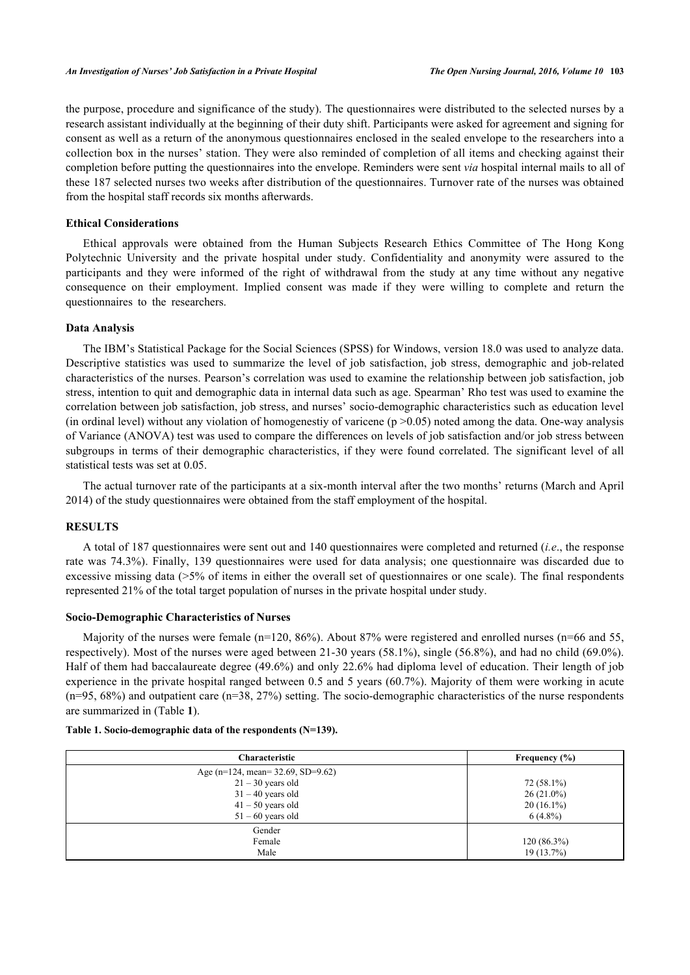the purpose, procedure and significance of the study). The questionnaires were distributed to the selected nurses by a research assistant individually at the beginning of their duty shift. Participants were asked for agreement and signing for consent as well as a return of the anonymous questionnaires enclosed in the sealed envelope to the researchers into a collection box in the nurses' station. They were also reminded of completion of all items and checking against their completion before putting the questionnaires into the envelope. Reminders were sent *via* hospital internal mails to all of these 187 selected nurses two weeks after distribution of the questionnaires. Turnover rate of the nurses was obtained from the hospital staff records six months afterwards.

## **Ethical Considerations**

Ethical approvals were obtained from the Human Subjects Research Ethics Committee of The Hong Kong Polytechnic University and the private hospital under study. Confidentiality and anonymity were assured to the participants and they were informed of the right of withdrawal from the study at any time without any negative consequence on their employment. Implied consent was made if they were willing to complete and return the questionnaires to the researchers.

## **Data Analysis**

The IBM's Statistical Package for the Social Sciences (SPSS) for Windows, version 18.0 was used to analyze data. Descriptive statistics was used to summarize the level of job satisfaction, job stress, demographic and job-related characteristics of the nurses. Pearson's correlation was used to examine the relationship between job satisfaction, job stress, intention to quit and demographic data in internal data such as age. Spearman' Rho test was used to examine the correlation between job satisfaction, job stress, and nurses' socio-demographic characteristics such as education level (in ordinal level) without any violation of homogenestiy of varicene ( $p > 0.05$ ) noted among the data. One-way analysis of Variance (ANOVA) test was used to compare the differences on levels of job satisfaction and/or job stress between subgroups in terms of their demographic characteristics, if they were found correlated. The significant level of all statistical tests was set at 0.05.

The actual turnover rate of the participants at a six-month interval after the two months' returns (March and April 2014) of the study questionnaires were obtained from the staff employment of the hospital.

## **RESULTS**

A total of 187 questionnaires were sent out and 140 questionnaires were completed and returned (*i.e*., the response rate was 74.3%). Finally, 139 questionnaires were used for data analysis; one questionnaire was discarded due to excessive missing data (>5% of items in either the overall set of questionnaires or one scale). The final respondents represented 21% of the total target population of nurses in the private hospital under study.

## **Socio-Demographic Characteristics of Nurses**

Majority of the nurses were female (n=120, 86%). About 87% were registered and enrolled nurses (n=66 and 55, respectively). Most of the nurses were aged between 21-30 years (58.1%), single (56.8%), and had no child (69.0%). Half of them had baccalaureate degree (49.6%) and only 22.6% had diploma level of education. Their length of job experience in the private hospital ranged between 0.5 and 5 years (60.7%). Majority of them were working in acute (n=95, 68%) and outpatient care (n=38, 27%) setting. The socio-demographic characteristics of the nurse respondents are summarized in (Table **[1](#page-4-0)**).

| Characteristic                        | Frequency $(\% )$ |
|---------------------------------------|-------------------|
| Age ( $n=124$ , mean= 32.69, SD=9.62) |                   |
| $21 - 30$ years old                   | 72 (58.1%)        |
| $31 - 40$ years old                   | $26(21.0\%)$      |
| $41 - 50$ years old                   | $20(16.1\%)$      |
| $51 - 60$ years old                   | $6(4.8\%)$        |
| Gender                                |                   |
| Female                                | 120(86.3%)        |
| Male                                  | $19(13.7\%)$      |

#### <span id="page-4-0"></span>**Table 1. Socio-demographic data of the respondents (N=139).**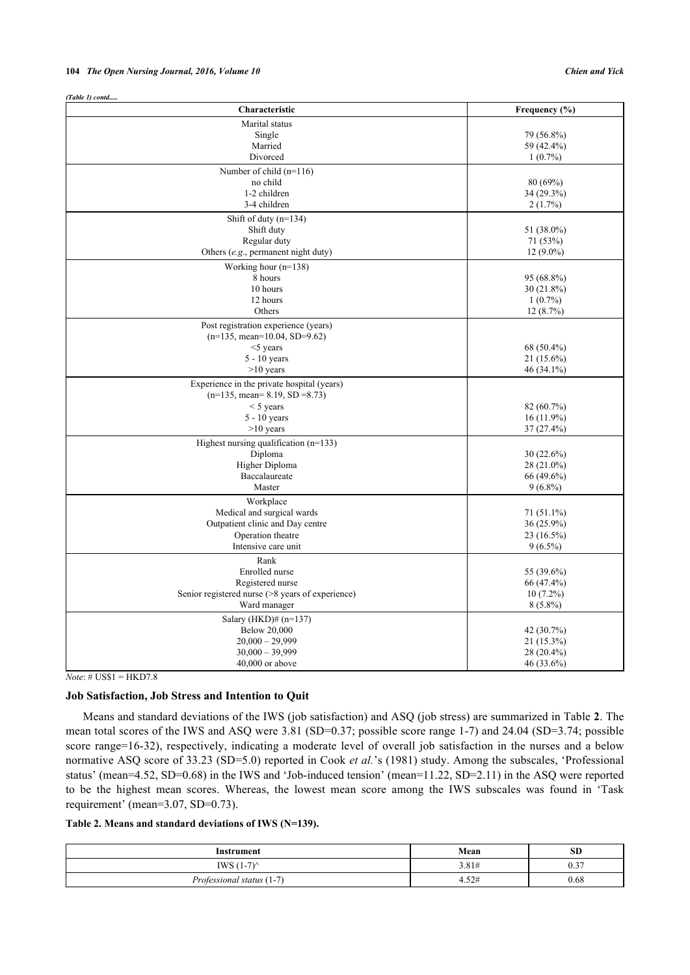| (Table 1) contd                                   |                          |
|---------------------------------------------------|--------------------------|
| Characteristic                                    | Frequency (%)            |
| Marital status                                    |                          |
| Single                                            | 79 (56.8%)               |
| Married                                           | 59 (42.4%)               |
| Divorced                                          | $1(0.7\%)$               |
| Number of child $(n=116)$                         |                          |
| no child                                          | 80 (69%)                 |
| 1-2 children                                      | 34 (29.3%)               |
| 3-4 children                                      | 2(1.7%)                  |
| Shift of duty $(n=134)$                           |                          |
| Shift duty                                        | 51 (38.0%)               |
| Regular duty                                      | 71 (53%)                 |
| Others (e.g., permanent night duty)               | $12(9.0\%)$              |
| Working hour (n=138)                              |                          |
| 8 hours                                           | 95 (68.8%)               |
| 10 hours                                          | $30(21.8\%)$             |
| 12 hours                                          | $1(0.7\%)$               |
| Others                                            | 12(8.7%)                 |
| Post registration experience (years)              |                          |
| $(n=135, mean=10.04, SD=9.62)$                    |                          |
| $<$ 5 years                                       | 68 (50.4%)               |
| $5 - 10$ years                                    | $21(15.6\%)$             |
| $>10$ years                                       | 46 (34.1%)               |
| Experience in the private hospital (years)        |                          |
| $(n=135, \text{ mean} = 8.19, \text{ SD} = 8.73)$ |                          |
| $<$ 5 years                                       | 82 (60.7%)               |
| $5 - 10$ years                                    | $16(11.9\%)$             |
| $>10$ years                                       | $37(27.4\%)$             |
| Highest nursing qualification $(n=133)$           |                          |
| Diploma                                           | 30(22.6%)                |
| Higher Diploma                                    | 28 (21.0%)               |
| Baccalaureate                                     | 66 (49.6%)               |
| Master                                            | $9(6.8\%)$               |
| Workplace                                         |                          |
| Medical and surgical wards                        | 71 (51.1%)               |
| Outpatient clinic and Day centre                  | 36 (25.9%)               |
| Operation theatre                                 | $23(16.5\%)$             |
| Intensive care unit                               | $9(6.5\%)$               |
| Rank                                              |                          |
| Enrolled nurse                                    | 55 (39.6%)               |
| Registered nurse                                  | 66 (47.4%)               |
| Senior registered nurse (>8 years of experience)  | $10(7.2\%)$              |
| Ward manager                                      | $8(5.8\%)$               |
| Salary (HKD)# $(n=137)$                           |                          |
| <b>Below 20,000</b>                               | 42 (30.7%)               |
| $20,000 - 29,999$                                 |                          |
| $30,000 - 39,999$                                 | 21 (15.3%)<br>28 (20.4%) |
| $40,000$ or above                                 | 46 (33.6%)               |
|                                                   |                          |

## *Note*: # US\$1 = HKD7.8

## **Job Satisfaction, Job Stress and Intention to Quit**

Means and standard deviations of the IWS (job satisfaction) and ASQ (job stress) are summarized in Table **[2](#page-5-0)**. The mean total scores of the IWS and ASQ were 3.81 (SD=0.37; possible score range 1-7) and 24.04 (SD=3.74; possible score range=16-32), respectively, indicating a moderate level of overall job satisfaction in the nurses and a below normative ASQ score of 33.23 (SD=5.0) reported in Cook *et al.*'s (1981) study. Among the subscales, 'Professional status' (mean=4.52, SD=0.68) in the IWS and 'Job-induced tension' (mean=11.22, SD=2.11) in the ASQ were reported to be the highest mean scores. Whereas, the lowest mean score among the IWS subscales was found in 'Task requirement' (mean=3.07, SD=0.73).

<span id="page-5-0"></span>**Table 2. Means and standard deviations of IWS (N=139).**

| Instrument                         | Mean  | <b>SD</b>   |
|------------------------------------|-------|-------------|
| (1.7)<br>IWS (                     | 3.81# | 0.27<br>U.J |
| $\tau$<br>Professional status (1-7 | 4.52# | 0.68        |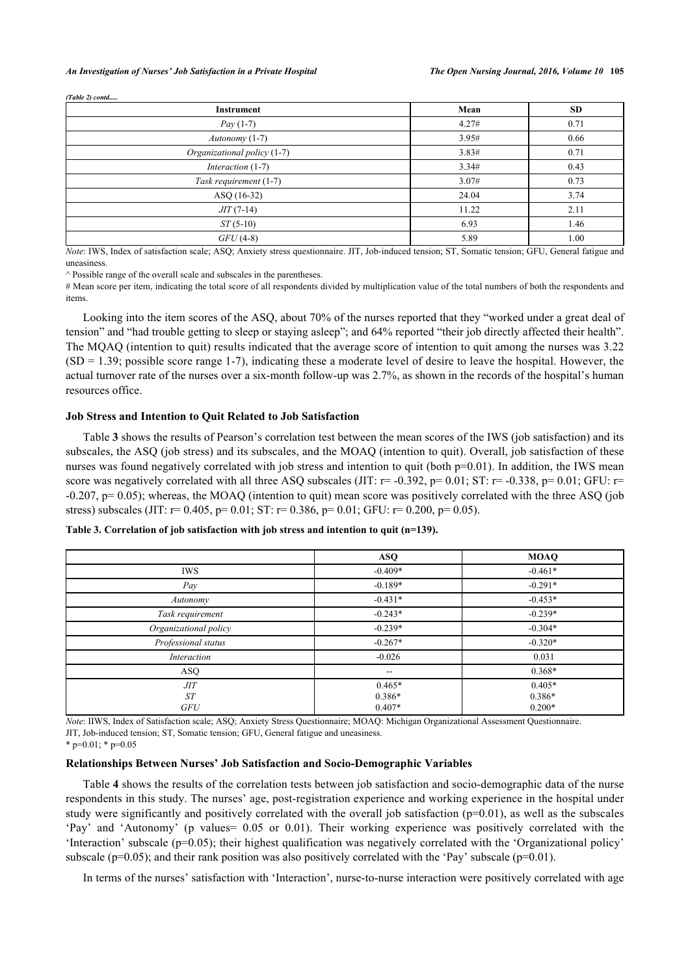*(Table 2) contd.....*

| Instrument                  | Mean  | <b>SD</b> |
|-----------------------------|-------|-----------|
| <i>Pay</i> $(1-7)$          | 4.27# | 0.71      |
| $\textit{Autonomy}(1-7)$    | 3.95# | 0.66      |
| Organizational policy (1-7) | 3.83# | 0.71      |
| Interaction $(1-7)$         | 3.34# | 0.43      |
| Task requirement (1-7)      | 3.07# | 0.73      |
| ASQ (16-32)                 | 24.04 | 3.74      |
| $JIT(7-14)$                 | 11.22 | 2.11      |
| $ST(5-10)$                  | 6.93  | 1.46      |
| $GFU(4-8)$                  | 5.89  | 1.00      |

*Note*: IWS, Index of satisfaction scale; ASQ; Anxiety stress questionnaire. JIT, Job-induced tension; ST, Somatic tension; GFU, General fatigue and uneasiness.

 $\land$  Possible range of the overall scale and subscales in the parentheses.

# Mean score per item, indicating the total score of all respondents divided by multiplication value of the total numbers of both the respondents and items.

Looking into the item scores of the ASQ, about 70% of the nurses reported that they "worked under a great deal of tension" and "had trouble getting to sleep or staying asleep"; and 64% reported "their job directly affected their health". The MQAQ (intention to quit) results indicated that the average score of intention to quit among the nurses was 3.22  $(SD = 1.39$ ; possible score range 1-7), indicating these a moderate level of desire to leave the hospital. However, the actual turnover rate of the nurses over a six-month follow-up was 2.7%, as shown in the records of the hospital's human resources office.

#### **Job Stress and Intention to Quit Related to Job Satisfaction**

Table **[3](#page-6-0)** shows the results of Pearson's correlation test between the mean scores of the IWS (job satisfaction) and its subscales, the ASQ (job stress) and its subscales, and the MOAQ (intention to quit). Overall, job satisfaction of these nurses was found negatively correlated with job stress and intention to quit (both p=0.01). In addition, the IWS mean score was negatively correlated with all three ASQ subscales (JIT:  $r = -0.392$ ,  $p = 0.01$ ; ST:  $r = -0.338$ ,  $p = 0.01$ ; GFU:  $r =$  $-0.207$ ,  $p= 0.05$ ); whereas, the MOAQ (intention to quit) mean score was positively correlated with the three ASQ (job stress) subscales (JIT:  $r= 0.405$ ,  $p= 0.01$ ; ST:  $r= 0.386$ ,  $p= 0.01$ ; GFU:  $r= 0.200$ ,  $p= 0.05$ ).

|                       | <b>ASQ</b>               | <b>MOAQ</b> |
|-----------------------|--------------------------|-------------|
| <b>IWS</b>            | $-0.409*$                | $-0.461*$   |
| Pay                   | $-0.189*$                | $-0.291*$   |
| Autonomy              | $-0.431*$                | $-0.453*$   |
| Task requirement      | $-0.243*$                | $-0.239*$   |
| Organizational policy | $-0.239*$                | $-0.304*$   |
| Professional status   | $-0.267*$                | $-0.320*$   |
| Interaction           | $-0.026$                 | 0.031       |
| ASQ                   | $\overline{\phantom{a}}$ | $0.368*$    |
| JIT                   | $0.465*$                 | $0.405*$    |
| ST                    | $0.386*$                 | $0.386*$    |
| <b>GFU</b>            | $0.407*$                 | $0.200*$    |

<span id="page-6-0"></span>**Table 3. Correlation of job satisfaction with job stress and intention to quit (n=139).**

*Note*: IIWS, Index of Satisfaction scale; ASQ; Anxiety Stress Questionnaire; MOAQ: Michigan Organizational Assessment Questionnaire. JIT, Job-induced tension; ST, Somatic tension; GFU, General fatigue and uneasiness.

 $*$  p=0.01;  $*$  p=0.05

#### **Relationships Between Nurses' Job Satisfaction and Socio-Demographic Variables**

Table **[4](#page-7-0)** shows the results of the correlation tests between job satisfaction and socio-demographic data of the nurse respondents in this study. The nurses' age, post-registration experience and working experience in the hospital under study were significantly and positively correlated with the overall job satisfaction  $(p=0.01)$ , as well as the subscales 'Pay' and 'Autonomy' (p values= 0.05 or 0.01). Their working experience was positively correlated with the 'Interaction' subscale ( $p=0.05$ ); their highest qualification was negatively correlated with the 'Organizational policy' subscale ( $p=0.05$ ); and their rank position was also positively correlated with the 'Pay' subscale ( $p=0.01$ ).

In terms of the nurses' satisfaction with 'Interaction', nurse-to-nurse interaction were positively correlated with age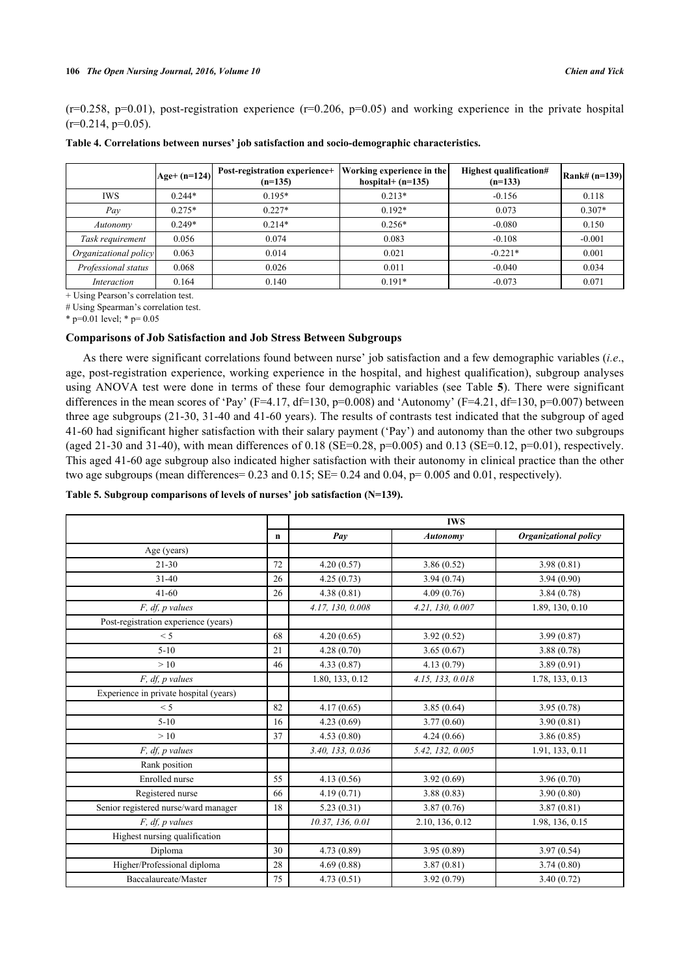$(r=0.258, p=0.01)$ , post-registration experience  $(r=0.206, p=0.05)$  and working experience in the private hospital  $(r=0.214, p=0.05)$ .

<span id="page-7-0"></span>

| Table 4. Correlations between nurses' job satisfaction and socio-demographic characteristics. |  |  |
|-----------------------------------------------------------------------------------------------|--|--|
|                                                                                               |  |  |

|                       | $ Age+ (n=124) $ | Post-registration experience+<br>$(n=135)$ | Working experience in the<br>hospital + $(n=135)$ | Highest qualification#<br>$(n=133)$ | $\left  \text{Rank} \# (n=139) \right $ |
|-----------------------|------------------|--------------------------------------------|---------------------------------------------------|-------------------------------------|-----------------------------------------|
| <b>IWS</b>            | $0.244*$         | $0.195*$                                   | $0.213*$                                          | $-0.156$                            | 0.118                                   |
| Pav                   | $0.275*$         | $0.227*$                                   | $0.192*$                                          | 0.073                               | $0.307*$                                |
| Autonomy              | $0.249*$         | $0.214*$                                   | $0.256*$                                          | $-0.080$                            | 0.150                                   |
| Task requirement      | 0.056            | 0.074                                      | 0.083                                             | $-0.108$                            | $-0.001$                                |
| Organizational policy | 0.063            | 0.014                                      | 0.021                                             | $-0.221*$                           | 0.001                                   |
| Professional status   | 0.068            | 0.026                                      | 0.011                                             | $-0.040$                            | 0.034                                   |
| Interaction           | 0.164            | 0.140                                      | $0.191*$                                          | $-0.073$                            | 0.071                                   |

+ Using Pearson's correlation test.

# Using Spearman's correlation test.

\* p=0.01 level; \* p= 0.05

## **Comparisons of Job Satisfaction and Job Stress Between Subgroups**

As there were significant correlations found between nurse' job satisfaction and a few demographic variables (*i.e*., age, post-registration experience, working experience in the hospital, and highest qualification), subgroup analyses using ANOVA test were done in terms of these four demographic variables (see Table **[5](#page-7-1)**). There were significant differences in the mean scores of 'Pay' (F=4.17, df=130, p=0.008) and 'Autonomy' (F=4.21, df=130, p=0.007) between three age subgroups (21-30, 31-40 and 41-60 years). The results of contrasts test indicated that the subgroup of aged 41-60 had significant higher satisfaction with their salary payment ('Pay') and autonomy than the other two subgroups (aged 21-30 and 31-40), with mean differences of 0.18 (SE=0.28, p=0.005) and 0.13 (SE=0.12, p=0.01), respectively. This aged 41-60 age subgroup also indicated higher satisfaction with their autonomy in clinical practice than the other two age subgroups (mean differences =  $0.23$  and  $0.15$ ; SE =  $0.24$  and  $0.04$ , p=  $0.005$  and  $0.01$ , respectively).

#### <span id="page-7-1"></span>**Table 5. Subgroup comparisons of levels of nurses' job satisfaction (N=139).**

|                                        |    | <b>IWS</b>       |                  |                              |
|----------------------------------------|----|------------------|------------------|------------------------------|
|                                        | n  | Pay              | Autonomy         | <b>Organizational policy</b> |
| Age (years)                            |    |                  |                  |                              |
| $21 - 30$                              | 72 | 4.20(0.57)       | 3.86(0.52)       | 3.98(0.81)                   |
| $31 - 40$                              | 26 | 4.25(0.73)       | 3.94(0.74)       | 3.94(0.90)                   |
| $41 - 60$                              | 26 | 4.38(0.81)       | 4.09(0.76)       | 3.84(0.78)                   |
| $F$ , df, $p$ values                   |    | 4.17, 130, 0.008 | 4.21, 130, 0.007 | 1.89, 130, 0.10              |
| Post-registration experience (years)   |    |                  |                  |                              |
| < 5                                    | 68 | 4.20(0.65)       | 3.92(0.52)       | 3.99(0.87)                   |
| $5-10$                                 | 21 | 4.28(0.70)       | 3.65(0.67)       | 3.88(0.78)                   |
| >10                                    | 46 | 4.33(0.87)       | 4.13(0.79)       | 3.89(0.91)                   |
| F, df, p values                        |    | 1.80, 133, 0.12  | 4.15, 133, 0.018 | 1.78, 133, 0.13              |
| Experience in private hospital (years) |    |                  |                  |                              |
| < 5                                    | 82 | 4.17(0.65)       | 3.85(0.64)       | 3.95(0.78)                   |
| $5 - 10$                               | 16 | 4.23(0.69)       | 3.77(0.60)       | 3.90(0.81)                   |
| >10                                    | 37 | 4.53(0.80)       | 4.24(0.66)       | 3.86(0.85)                   |
| $F$ , df, $p$ values                   |    | 3.40, 133, 0.036 | 5.42, 132, 0.005 | 1.91, 133, 0.11              |
| Rank position                          |    |                  |                  |                              |
| Enrolled nurse                         | 55 | 4.13(0.56)       | 3.92(0.69)       | 3.96(0.70)                   |
| Registered nurse                       | 66 | 4.19(0.71)       | 3.88(0.83)       | 3.90(0.80)                   |
| Senior registered nurse/ward manager   | 18 | 5.23(0.31)       | 3.87(0.76)       | 3.87(0.81)                   |
| F, df, p values                        |    | 10.37, 136, 0.01 | 2.10, 136, 0.12  | 1.98, 136, 0.15              |
| Highest nursing qualification          |    |                  |                  |                              |
| Diploma                                | 30 | 4.73(0.89)       | 3.95(0.89)       | 3.97(0.54)                   |
| Higher/Professional diploma            | 28 | 4.69(0.88)       | 3.87(0.81)       | 3.74(0.80)                   |
| Baccalaureate/Master                   | 75 | 4.73(0.51)       | 3.92(0.79)       | 3.40(0.72)                   |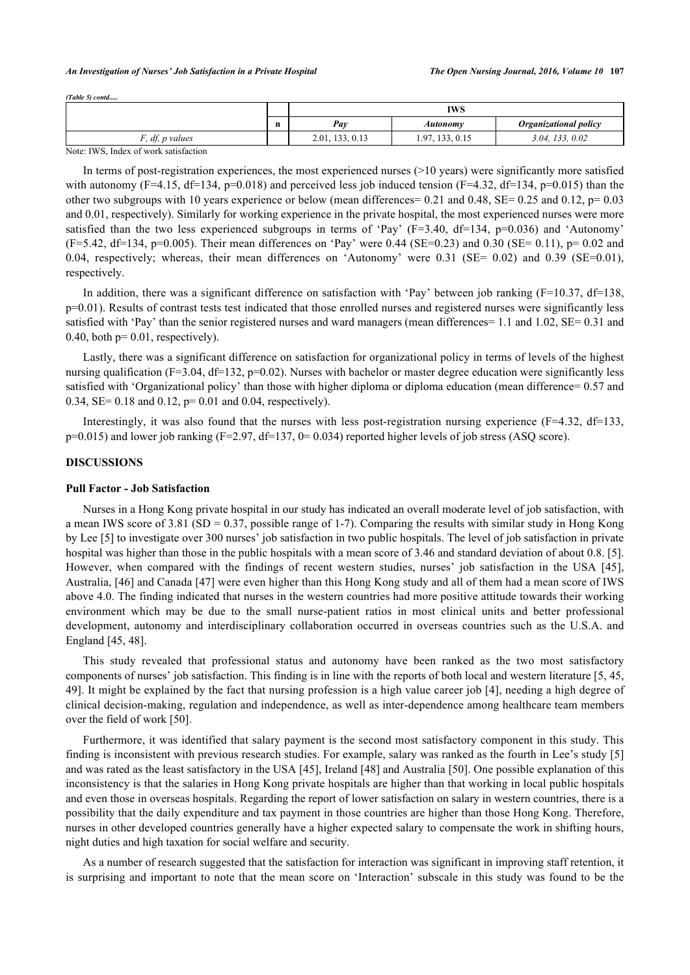#### *An Investigation of Nurses' Job Satisfaction in a Private Hospital The Open Nursing Journal, 2016, Volume 10* **107**

*(Table 5) contd.....*

|                                   |             | <b>IWS</b>         |                      |                              |
|-----------------------------------|-------------|--------------------|----------------------|------------------------------|
|                                   | $\mathbf n$ | Pay                | Autonomv             | <b>Organizational policy</b> |
| $\mathbf{r}$<br>df, p values      |             | 2.01,<br>133, 0.13 | 1.97<br>7, 133, 0.15 | 133, 0.02<br>3.04.           |
| TITIO T<br>$\mathbf{X}$<br>$\sim$ |             |                    |                      |                              |

Note: IWS, Index of work satisfaction

In terms of post-registration experiences, the most experienced nurses (>10 years) were significantly more satisfied with autonomy (F=4.15, df=134, p=0.018) and perceived less job induced tension (F=4.32, df=134, p=0.015) than the other two subgroups with 10 years experience or below (mean differences =  $0.21$  and  $0.48$ , SE=  $0.25$  and  $0.12$ , p=  $0.03$ and 0.01, respectively). Similarly for working experience in the private hospital, the most experienced nurses were more satisfied than the two less experienced subgroups in terms of 'Pay'  $(F=3.40, df=134, p=0.036)$  and 'Autonomy'  $(F=5.42, df=134, p=0.005)$ . Their mean differences on 'Pay' were 0.44 (SE=0.23) and 0.30 (SE= 0.11), p= 0.02 and 0.04, respectively; whereas, their mean differences on 'Autonomy' were 0.31 (SE= 0.02) and 0.39 (SE=0.01), respectively.

In addition, there was a significant difference on satisfaction with 'Pay' between job ranking ( $F=10.37$ ,  $df=138$ ,  $p=0.01$ ). Results of contrast tests test indicated that those enrolled nurses and registered nurses were significantly less satisfied with 'Pay' than the senior registered nurses and ward managers (mean differences= 1.1 and 1.02, SE= 0.31 and 0.40, both  $p=0.01$ , respectively).

Lastly, there was a significant difference on satisfaction for organizational policy in terms of levels of the highest nursing qualification ( $F=3.04$ ,  $df=132$ ,  $p=0.02$ ). Nurses with bachelor or master degree education were significantly less satisfied with 'Organizational policy' than those with higher diploma or diploma education (mean difference= 0.57 and 0.34, SE= 0.18 and 0.12, p= 0.01 and 0.04, respectively).

Interestingly, it was also found that the nurses with less post-registration nursing experience ( $F=4.32$ ,  $df=133$ ,  $p=0.015$ ) and lower job ranking (F=2.97, df=137, 0= 0.034) reported higher levels of job stress (ASQ score).

## **DISCUSSIONS**

## **Pull Factor - Job Satisfaction**

Nurses in a Hong Kong private hospital in our study has indicated an overall moderate level of job satisfaction, with a mean IWS score of 3.81 (SD =  $0.37$ , possible range of 1-7). Comparing the results with similar study in Hong Kong by Lee [\[5](#page-11-4)] to investigate over 300 nurses' job satisfaction in two public hospitals. The level of job satisfaction in private hospital was higher than those in the public hospitals with a mean score of 3.46 and standard deviation of about 0.8. [[5\]](#page-11-4). However, when compared with the findings of recent western studies, nurses' job satisfaction in the USA [\[45\]](#page-13-4), Australia, [\[46](#page-13-5)] and Canada [[47](#page-13-6)] were even higher than this Hong Kong study and all of them had a mean score of IWS above 4.0. The finding indicated that nurses in the western countries had more positive attitude towards their working environment which may be due to the small nurse-patient ratios in most clinical units and better professional development, autonomy and interdisciplinary collaboration occurred in overseas countries such as the U.S.A. and England [[45](#page-13-4)[, 48\]](#page-13-7).

This study revealed that professional status and autonomy have been ranked as the two most satisfactory components of nurses' job satisfaction. This finding is in line with the reports of both local and western literature [[5](#page-11-4), [45](#page-13-4), [49\]](#page-13-8). It might be explained by the fact that nursing profession is a high value career job [\[4](#page-11-3)], needing a high degree of clinical decision-making, regulation and independence, as well as inter-dependence among healthcare team members over the field of work [[50\]](#page-13-9).

Furthermore, it was identified that salary payment is the second most satisfactory component in this study. This finding is inconsistent with previous research studies. For example, salary was ranked as the fourth in Lee's study [\[5](#page-11-4)] and was rated as the least satisfactory in the USA [[45\]](#page-13-4), Ireland [[48\]](#page-13-7) and Australia [\[50](#page-13-9)]. One possible explanation of this inconsistency is that the salaries in Hong Kong private hospitals are higher than that working in local public hospitals and even those in overseas hospitals. Regarding the report of lower satisfaction on salary in western countries, there is a possibility that the daily expenditure and tax payment in those countries are higher than those Hong Kong. Therefore, nurses in other developed countries generally have a higher expected salary to compensate the work in shifting hours, night duties and high taxation for social welfare and security.

As a number of research suggested that the satisfaction for interaction was significant in improving staff retention, it is surprising and important to note that the mean score on 'Interaction' subscale in this study was found to be the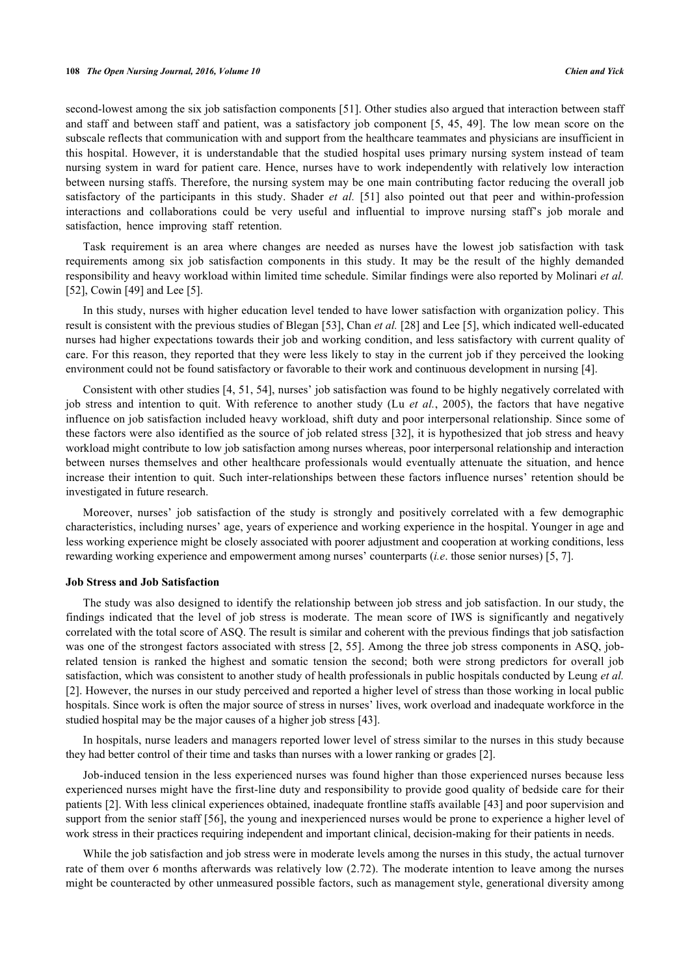second-lowest among the six job satisfaction components [\[51](#page-13-10)]. Other studies also argued that interaction between staff and staff and between staff and patient, was a satisfactory job component [\[5](#page-11-4), [45](#page-13-4)[, 49](#page-13-8)]. The low mean score on the subscale reflects that communication with and support from the healthcare teammates and physicians are insufficient in this hospital. However, it is understandable that the studied hospital uses primary nursing system instead of team nursing system in ward for patient care. Hence, nurses have to work independently with relatively low interaction between nursing staffs. Therefore, the nursing system may be one main contributing factor reducing the overall job satisfactory of the participants in this study. Shader *et al.* [\[51](#page-13-10)] also pointed out that peer and within-profession interactions and collaborations could be very useful and influential to improve nursing staff's job morale and satisfaction, hence improving staff retention.

Task requirement is an area where changes are needed as nurses have the lowest job satisfaction with task requirements among six job satisfaction components in this study. It may be the result of the highly demanded responsibility and heavy workload within limited time schedule. Similar findings were also reported by Molinari *et al.* [\[52](#page-13-11)], Cowin [[49\]](#page-13-8) and Lee [\[5](#page-11-4)].

In this study, nurses with higher education level tended to have lower satisfaction with organization policy. This result is consistent with the previous studies of Blegan [[53\]](#page-13-12), Chan *et al.* [[28\]](#page-12-11) and Lee [[5\]](#page-11-4), which indicated well-educated nurses had higher expectations towards their job and working condition, and less satisfactory with current quality of care. For this reason, they reported that they were less likely to stay in the current job if they perceived the looking environment could not be found satisfactory or favorable to their work and continuous development in nursing [[4\]](#page-11-3).

Consistent with other studies [[4,](#page-11-3) [51,](#page-13-10) [54](#page-13-13)], nurses' job satisfaction was found to be highly negatively correlated with job stress and intention to quit. With reference to another study (Lu *et al.*, 2005), the factors that have negative influence on job satisfaction included heavy workload, shift duty and poor interpersonal relationship. Since some of these factors were also identified as the source of job related stress [[32](#page-12-15)], it is hypothesized that job stress and heavy workload might contribute to low job satisfaction among nurses whereas, poor interpersonal relationship and interaction between nurses themselves and other healthcare professionals would eventually attenuate the situation, and hence increase their intention to quit. Such inter-relationships between these factors influence nurses' retention should be investigated in future research.

Moreover, nurses' job satisfaction of the study is strongly and positively correlated with a few demographic characteristics, including nurses' age, years of experience and working experience in the hospital. Younger in age and less working experience might be closely associated with poorer adjustment and cooperation at working conditions, less rewarding working experience and empowerment among nurses' counterparts (*i.e*. those senior nurses) [\[5](#page-11-4), [7](#page-11-6)].

#### **Job Stress and Job Satisfaction**

The study was also designed to identify the relationship between job stress and job satisfaction. In our study, the findings indicated that the level of job stress is moderate. The mean score of IWS is significantly and negatively correlated with the total score of ASQ. The result is similar and coherent with the previous findings that job satisfaction was one of the strongest factors associated with stress [[2](#page-11-1)[, 55\]](#page-13-14). Among the three job stress components in ASQ, jobrelated tension is ranked the highest and somatic tension the second; both were strong predictors for overall job satisfaction, which was consistent to another study of health professionals in public hospitals conducted by Leung *et al.* [\[2](#page-11-1)]. However, the nurses in our study perceived and reported a higher level of stress than those working in local public hospitals. Since work is often the major source of stress in nurses' lives, work overload and inadequate workforce in the studied hospital may be the major causes of a higher job stress [\[43](#page-13-15)].

In hospitals, nurse leaders and managers reported lower level of stress similar to the nurses in this study because they had better control of their time and tasks than nurses with a lower ranking or grades [[2\]](#page-11-1).

Job-induced tension in the less experienced nurses was found higher than those experienced nurses because less experienced nurses might have the first-line duty and responsibility to provide good quality of bedside care for their patients [[2](#page-11-1)]. With less clinical experiences obtained, inadequate frontline staffs available [[43\]](#page-13-15) and poor supervision and support from the senior staff [[56\]](#page-13-16), the young and inexperienced nurses would be prone to experience a higher level of work stress in their practices requiring independent and important clinical, decision-making for their patients in needs.

While the job satisfaction and job stress were in moderate levels among the nurses in this study, the actual turnover rate of them over 6 months afterwards was relatively low (2.72). The moderate intention to leave among the nurses might be counteracted by other unmeasured possible factors, such as management style, generational diversity among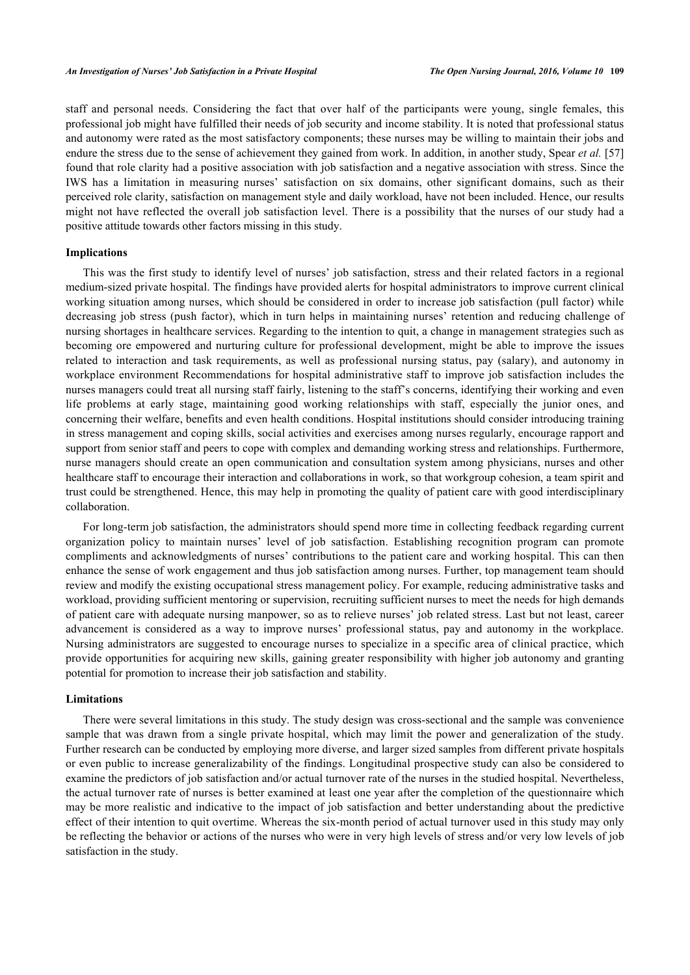staff and personal needs. Considering the fact that over half of the participants were young, single females, this professional job might have fulfilled their needs of job security and income stability. It is noted that professional status and autonomy were rated as the most satisfactory components; these nurses may be willing to maintain their jobs and endure the stress due to the sense of achievement they gained from work. In addition, in another study, Spear *et al.* [\[57](#page-13-17)] found that role clarity had a positive association with job satisfaction and a negative association with stress. Since the IWS has a limitation in measuring nurses' satisfaction on six domains, other significant domains, such as their perceived role clarity, satisfaction on management style and daily workload, have not been included. Hence, our results might not have reflected the overall job satisfaction level. There is a possibility that the nurses of our study had a positive attitude towards other factors missing in this study.

## **Implications**

This was the first study to identify level of nurses' job satisfaction, stress and their related factors in a regional medium-sized private hospital. The findings have provided alerts for hospital administrators to improve current clinical working situation among nurses, which should be considered in order to increase job satisfaction (pull factor) while decreasing job stress (push factor), which in turn helps in maintaining nurses' retention and reducing challenge of nursing shortages in healthcare services. Regarding to the intention to quit, a change in management strategies such as becoming ore empowered and nurturing culture for professional development, might be able to improve the issues related to interaction and task requirements, as well as professional nursing status, pay (salary), and autonomy in workplace environment Recommendations for hospital administrative staff to improve job satisfaction includes the nurses managers could treat all nursing staff fairly, listening to the staff's concerns, identifying their working and even life problems at early stage, maintaining good working relationships with staff, especially the junior ones, and concerning their welfare, benefits and even health conditions. Hospital institutions should consider introducing training in stress management and coping skills, social activities and exercises among nurses regularly, encourage rapport and support from senior staff and peers to cope with complex and demanding working stress and relationships. Furthermore, nurse managers should create an open communication and consultation system among physicians, nurses and other healthcare staff to encourage their interaction and collaborations in work, so that workgroup cohesion, a team spirit and trust could be strengthened. Hence, this may help in promoting the quality of patient care with good interdisciplinary collaboration.

For long-term job satisfaction, the administrators should spend more time in collecting feedback regarding current organization policy to maintain nurses' level of job satisfaction. Establishing recognition program can promote compliments and acknowledgments of nurses' contributions to the patient care and working hospital. This can then enhance the sense of work engagement and thus job satisfaction among nurses. Further, top management team should review and modify the existing occupational stress management policy. For example, reducing administrative tasks and workload, providing sufficient mentoring or supervision, recruiting sufficient nurses to meet the needs for high demands of patient care with adequate nursing manpower, so as to relieve nurses' job related stress. Last but not least, career advancement is considered as a way to improve nurses' professional status, pay and autonomy in the workplace. Nursing administrators are suggested to encourage nurses to specialize in a specific area of clinical practice, which provide opportunities for acquiring new skills, gaining greater responsibility with higher job autonomy and granting potential for promotion to increase their job satisfaction and stability.

#### **Limitations**

There were several limitations in this study. The study design was cross-sectional and the sample was convenience sample that was drawn from a single private hospital, which may limit the power and generalization of the study. Further research can be conducted by employing more diverse, and larger sized samples from different private hospitals or even public to increase generalizability of the findings. Longitudinal prospective study can also be considered to examine the predictors of job satisfaction and/or actual turnover rate of the nurses in the studied hospital. Nevertheless, the actual turnover rate of nurses is better examined at least one year after the completion of the questionnaire which may be more realistic and indicative to the impact of job satisfaction and better understanding about the predictive effect of their intention to quit overtime. Whereas the six-month period of actual turnover used in this study may only be reflecting the behavior or actions of the nurses who were in very high levels of stress and/or very low levels of job satisfaction in the study.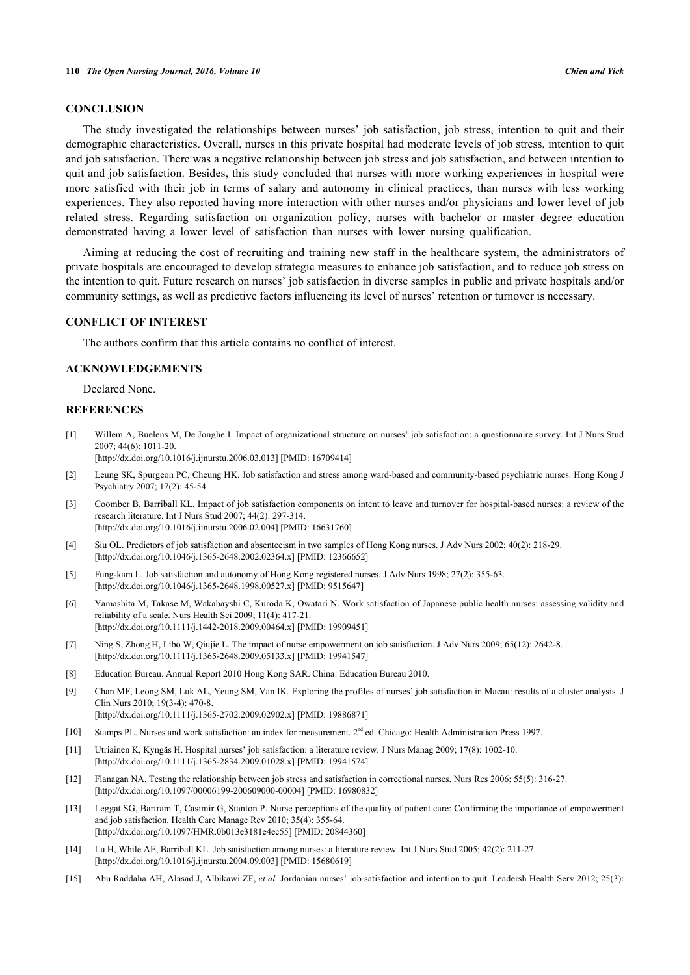## **CONCLUSION**

The study investigated the relationships between nurses' job satisfaction, job stress, intention to quit and their demographic characteristics. Overall, nurses in this private hospital had moderate levels of job stress, intention to quit and job satisfaction. There was a negative relationship between job stress and job satisfaction, and between intention to quit and job satisfaction. Besides, this study concluded that nurses with more working experiences in hospital were more satisfied with their job in terms of salary and autonomy in clinical practices, than nurses with less working experiences. They also reported having more interaction with other nurses and/or physicians and lower level of job related stress. Regarding satisfaction on organization policy, nurses with bachelor or master degree education demonstrated having a lower level of satisfaction than nurses with lower nursing qualification.

Aiming at reducing the cost of recruiting and training new staff in the healthcare system, the administrators of private hospitals are encouraged to develop strategic measures to enhance job satisfaction, and to reduce job stress on the intention to quit. Future research on nurses' job satisfaction in diverse samples in public and private hospitals and/or community settings, as well as predictive factors influencing its level of nurses' retention or turnover is necessary.

## **CONFLICT OF INTEREST**

The authors confirm that this article contains no conflict of interest.

## **ACKNOWLEDGEMENTS**

Declared None.

## **REFERENCES**

<span id="page-11-0"></span>[1] Willem A, Buelens M, De Jonghe I. Impact of organizational structure on nurses' job satisfaction: a questionnaire survey. Int J Nurs Stud 2007; 44(6): 1011-20.

[\[http://dx.doi.org/10.1016/j.ijnurstu.2006.03.013](http://dx.doi.org/10.1016/j.ijnurstu.2006.03.013)] [PMID: [16709414](http://www.ncbi.nlm.nih.gov/pubmed/16709414)]

- <span id="page-11-1"></span>[2] Leung SK, Spurgeon PC, Cheung HK. Job satisfaction and stress among ward-based and community-based psychiatric nurses. Hong Kong J Psychiatry 2007; 17(2): 45-54.
- <span id="page-11-2"></span>[3] Coomber B, Barriball KL. Impact of job satisfaction components on intent to leave and turnover for hospital-based nurses: a review of the research literature. Int J Nurs Stud 2007; 44(2): 297-314. [\[http://dx.doi.org/10.1016/j.ijnurstu.2006.02.004](http://dx.doi.org/10.1016/j.ijnurstu.2006.02.004)] [PMID: [16631760](http://www.ncbi.nlm.nih.gov/pubmed/16631760)]
- <span id="page-11-3"></span>[4] Siu OL. Predictors of job satisfaction and absenteeism in two samples of Hong Kong nurses. J Adv Nurs 2002; 40(2): 218-29. [\[http://dx.doi.org/10.1046/j.1365-2648.2002.02364.x\]](http://dx.doi.org/10.1046/j.1365-2648.2002.02364.x) [PMID: [12366652](http://www.ncbi.nlm.nih.gov/pubmed/12366652)]
- <span id="page-11-4"></span>[5] Fung-kam L. Job satisfaction and autonomy of Hong Kong registered nurses. J Adv Nurs 1998; 27(2): 355-63. [\[http://dx.doi.org/10.1046/j.1365-2648.1998.00527.x\]](http://dx.doi.org/10.1046/j.1365-2648.1998.00527.x) [PMID: [9515647](http://www.ncbi.nlm.nih.gov/pubmed/9515647)]
- <span id="page-11-5"></span>[6] Yamashita M, Takase M, Wakabayshi C, Kuroda K, Owatari N. Work satisfaction of Japanese public health nurses: assessing validity and reliability of a scale. Nurs Health Sci 2009; 11(4): 417-21. [\[http://dx.doi.org/10.1111/j.1442-2018.2009.00464.x\]](http://dx.doi.org/10.1111/j.1442-2018.2009.00464.x) [PMID: [19909451](http://www.ncbi.nlm.nih.gov/pubmed/19909451)]
- <span id="page-11-6"></span>[7] Ning S, Zhong H, Libo W, Qiujie L. The impact of nurse empowerment on job satisfaction. J Adv Nurs 2009; 65(12): 2642-8. [\[http://dx.doi.org/10.1111/j.1365-2648.2009.05133.x\]](http://dx.doi.org/10.1111/j.1365-2648.2009.05133.x) [PMID: [19941547](http://www.ncbi.nlm.nih.gov/pubmed/19941547)]
- <span id="page-11-7"></span>[8] Education Bureau. Annual Report 2010 Hong Kong SAR. China: Education Bureau 2010.
- <span id="page-11-8"></span>[9] Chan MF, Leong SM, Luk AL, Yeung SM, Van IK. Exploring the profiles of nurses' job satisfaction in Macau: results of a cluster analysis. J Clin Nurs 2010; 19(3-4): 470-8. [\[http://dx.doi.org/10.1111/j.1365-2702.2009.02902.x\]](http://dx.doi.org/10.1111/j.1365-2702.2009.02902.x) [PMID: [19886871](http://www.ncbi.nlm.nih.gov/pubmed/19886871)]
- <span id="page-11-13"></span>[10] Stamps PL. Nurses and work satisfaction: an index for measurement. 2<sup>nd</sup> ed. Chicago: Health Administration Press 1997.
- <span id="page-11-9"></span>[11] Utriainen K, Kyngäs H. Hospital nurses' job satisfaction: a literature review. J Nurs Manag 2009; 17(8): 1002-10. [\[http://dx.doi.org/10.1111/j.1365-2834.2009.01028.x\]](http://dx.doi.org/10.1111/j.1365-2834.2009.01028.x) [PMID: [19941574](http://www.ncbi.nlm.nih.gov/pubmed/19941574)]
- <span id="page-11-11"></span>[12] Flanagan NA. Testing the relationship between job stress and satisfaction in correctional nurses. Nurs Res 2006; 55(5): 316-27. [\[http://dx.doi.org/10.1097/00006199-200609000-00004](http://dx.doi.org/10.1097/00006199-200609000-00004)] [PMID: [16980832\]](http://www.ncbi.nlm.nih.gov/pubmed/16980832)
- [13] Leggat SG, Bartram T, Casimir G, Stanton P. Nurse perceptions of the quality of patient care: Confirming the importance of empowerment and job satisfaction. Health Care Manage Rev 2010; 35(4): 355-64. [\[http://dx.doi.org/10.1097/HMR.0b013e3181e4ec55](http://dx.doi.org/10.1097/HMR.0b013e3181e4ec55)] [PMID: [20844360\]](http://www.ncbi.nlm.nih.gov/pubmed/20844360)
- <span id="page-11-10"></span>[14] Lu H, While AE, Barriball KL. Job satisfaction among nurses: a literature review. Int J Nurs Stud 2005; 42(2): 211-27. [\[http://dx.doi.org/10.1016/j.ijnurstu.2004.09.003](http://dx.doi.org/10.1016/j.ijnurstu.2004.09.003)] [PMID: [15680619](http://www.ncbi.nlm.nih.gov/pubmed/15680619)]
- <span id="page-11-12"></span>[15] Abu Raddaha AH, Alasad J, Albikawi ZF, *et al.* Jordanian nurses' job satisfaction and intention to quit. Leadersh Health Serv 2012; 25(3):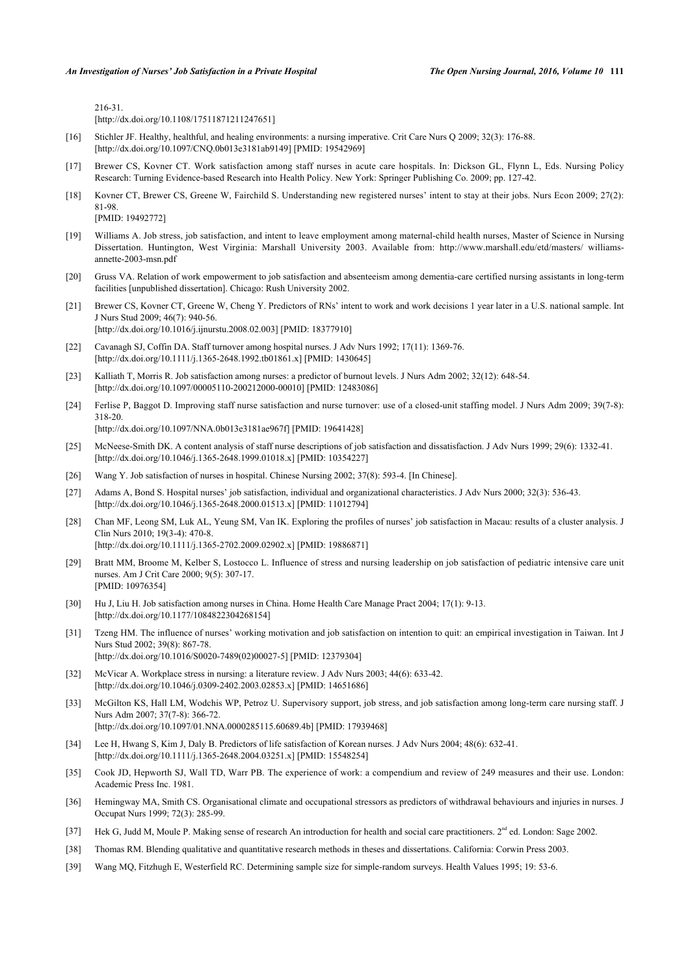216-31.

[\[http://dx.doi.org/10.1108/17511871211247651\]](http://dx.doi.org/10.1108/17511871211247651)

- <span id="page-12-0"></span>[16] Stichler JF. Healthy, healthful, and healing environments: a nursing imperative. Crit Care Nurs Q 2009; 32(3): 176-88. [\[http://dx.doi.org/10.1097/CNQ.0b013e3181ab9149\]](http://dx.doi.org/10.1097/CNQ.0b013e3181ab9149) [PMID: [19542969](http://www.ncbi.nlm.nih.gov/pubmed/19542969)]
- <span id="page-12-1"></span>[17] Brewer CS, Kovner CT. Work satisfaction among staff nurses in acute care hospitals. In: Dickson GL, Flynn L, Eds. Nursing Policy Research: Turning Evidence-based Research into Health Policy. New York: Springer Publishing Co. 2009; pp. 127-42.
- <span id="page-12-2"></span>[18] Kovner CT, Brewer CS, Greene W, Fairchild S. Understanding new registered nurses' intent to stay at their jobs. Nurs Econ 2009; 27(2): 81-98.
	- [PMID: [19492772\]](http://www.ncbi.nlm.nih.gov/pubmed/19492772)
- <span id="page-12-3"></span>[19] Williams A. Job stress, job satisfaction, and intent to leave employment among maternal-child health nurses, Master of Science in Nursing Dissertation. Huntington, West Virginia: Marshall University 2003. Available from: [http://www.marshall.edu/etd/masters/ williams](http://www.marshall.edu/etd/masters/williams-annette-2003-msn.pdf)[annette-2003-msn.pdf](http://www.marshall.edu/etd/masters/williams-annette-2003-msn.pdf)
- <span id="page-12-4"></span>[20] Gruss VA. Relation of work empowerment to job satisfaction and absenteeism among dementia-care certified nursing assistants in long-term facilities [unpublished dissertation]. Chicago: Rush University 2002.
- <span id="page-12-5"></span>[21] Brewer CS, Kovner CT, Greene W, Cheng Y. Predictors of RNs' intent to work and work decisions 1 year later in a U.S. national sample. Int J Nurs Stud 2009; 46(7): 940-56. [\[http://dx.doi.org/10.1016/j.ijnurstu.2008.02.003](http://dx.doi.org/10.1016/j.ijnurstu.2008.02.003)] [PMID: [18377910](http://www.ncbi.nlm.nih.gov/pubmed/18377910)]
- [22] Cavanagh SJ, Coffin DA. Staff turnover among hospital nurses. J Adv Nurs 1992; 17(11): 1369-76. [\[http://dx.doi.org/10.1111/j.1365-2648.1992.tb01861.x\]](http://dx.doi.org/10.1111/j.1365-2648.1992.tb01861.x) [PMID: [1430645](http://www.ncbi.nlm.nih.gov/pubmed/1430645)]
- <span id="page-12-6"></span>[23] Kalliath T, Morris R. Job satisfaction among nurses: a predictor of burnout levels. J Nurs Adm 2002; 32(12): 648-54. [\[http://dx.doi.org/10.1097/00005110-200212000-00010](http://dx.doi.org/10.1097/00005110-200212000-00010)] [PMID: [12483086\]](http://www.ncbi.nlm.nih.gov/pubmed/12483086)
- <span id="page-12-7"></span>[24] Ferlise P, Baggot D. Improving staff nurse satisfaction and nurse turnover: use of a closed-unit staffing model. J Nurs Adm 2009; 39(7-8): 318-20.
	- [\[http://dx.doi.org/10.1097/NNA.0b013e3181ae967f](http://dx.doi.org/10.1097/NNA.0b013e3181ae967f)] [PMID: [19641428](http://www.ncbi.nlm.nih.gov/pubmed/19641428)]
- <span id="page-12-8"></span>[25] McNeese-Smith DK. A content analysis of staff nurse descriptions of job satisfaction and dissatisfaction. J Adv Nurs 1999; 29(6): 1332-41. [\[http://dx.doi.org/10.1046/j.1365-2648.1999.01018.x\]](http://dx.doi.org/10.1046/j.1365-2648.1999.01018.x) [PMID: [10354227](http://www.ncbi.nlm.nih.gov/pubmed/10354227)]
- <span id="page-12-9"></span>[26] Wang Y. Job satisfaction of nurses in hospital. Chinese Nursing 2002; 37(8): 593-4. [In Chinese].
- <span id="page-12-10"></span>[27] Adams A, Bond S. Hospital nurses' job satisfaction, individual and organizational characteristics. J Adv Nurs 2000; 32(3): 536-43. [\[http://dx.doi.org/10.1046/j.1365-2648.2000.01513.x\]](http://dx.doi.org/10.1046/j.1365-2648.2000.01513.x) [PMID: [11012794](http://www.ncbi.nlm.nih.gov/pubmed/11012794)]
- <span id="page-12-11"></span>[28] Chan MF, Leong SM, Luk AL, Yeung SM, Van IK. Exploring the profiles of nurses' job satisfaction in Macau: results of a cluster analysis. J Clin Nurs 2010; 19(3-4): 470-8. [\[http://dx.doi.org/10.1111/j.1365-2702.2009.02902.x\]](http://dx.doi.org/10.1111/j.1365-2702.2009.02902.x) [PMID: [19886871](http://www.ncbi.nlm.nih.gov/pubmed/19886871)]
- <span id="page-12-12"></span>[29] Bratt MM, Broome M, Kelber S, Lostocco L. Influence of stress and nursing leadership on job satisfaction of pediatric intensive care unit nurses. Am J Crit Care 2000; 9(5): 307-17. [PMID: [10976354\]](http://www.ncbi.nlm.nih.gov/pubmed/10976354)
- <span id="page-12-13"></span>[30] Hu J, Liu H. Job satisfaction among nurses in China. Home Health Care Manage Pract 2004; 17(1): 9-13. [\[http://dx.doi.org/10.1177/1084822304268154\]](http://dx.doi.org/10.1177/1084822304268154)
- <span id="page-12-14"></span>[31] Tzeng HM. The influence of nurses' working motivation and job satisfaction on intention to quit: an empirical investigation in Taiwan. Int J Nurs Stud 2002; 39(8): 867-78. [\[http://dx.doi.org/10.1016/S0020-7489\(02\)00027-5\]](http://dx.doi.org/10.1016/S0020-7489(02)00027-5) [PMID: [12379304](http://www.ncbi.nlm.nih.gov/pubmed/12379304)]
- <span id="page-12-15"></span>[32] McVicar A. Workplace stress in nursing: a literature review. J Adv Nurs 2003; 44(6): 633-42. [\[http://dx.doi.org/10.1046/j.0309-2402.2003.02853.x\]](http://dx.doi.org/10.1046/j.0309-2402.2003.02853.x) [PMID: [14651686](http://www.ncbi.nlm.nih.gov/pubmed/14651686)]
- <span id="page-12-16"></span>[33] McGilton KS, Hall LM, Wodchis WP, Petroz U. Supervisory support, job stress, and job satisfaction among long-term care nursing staff. J Nurs Adm 2007; 37(7-8): 366-72. [\[http://dx.doi.org/10.1097/01.NNA.0000285115.60689.4b](http://dx.doi.org/10.1097/01.NNA.0000285115.60689.4b)] [PMID: [17939468\]](http://www.ncbi.nlm.nih.gov/pubmed/17939468)
- <span id="page-12-17"></span>[34] Lee H, Hwang S, Kim J, Daly B. Predictors of life satisfaction of Korean nurses. J Adv Nurs 2004; 48(6): 632-41. [\[http://dx.doi.org/10.1111/j.1365-2648.2004.03251.x\]](http://dx.doi.org/10.1111/j.1365-2648.2004.03251.x) [PMID: [15548254](http://www.ncbi.nlm.nih.gov/pubmed/15548254)]
- <span id="page-12-18"></span>[35] Cook JD, Hepworth SJ, Wall TD, Warr PB. The experience of work: a compendium and review of 249 measures and their use. London: Academic Press Inc. 1981.
- <span id="page-12-19"></span>[36] Hemingway MA, Smith CS. Organisational climate and occupational stressors as predictors of withdrawal behaviours and injuries in nurses. J Occupat Nurs 1999; 72(3): 285-99.
- <span id="page-12-20"></span>[37] Hek G, Judd M, Moule P. Making sense of research An introduction for health and social care practitioners.  $2<sup>nd</sup>$  ed. London: Sage 2002.
- <span id="page-12-21"></span>[38] Thomas RM. Blending qualitative and quantitative research methods in theses and dissertations. California: Corwin Press 2003.
- <span id="page-12-22"></span>[39] Wang MQ, Fitzhugh E, Westerfield RC. Determining sample size for simple-random surveys. Health Values 1995; 19: 53-6.